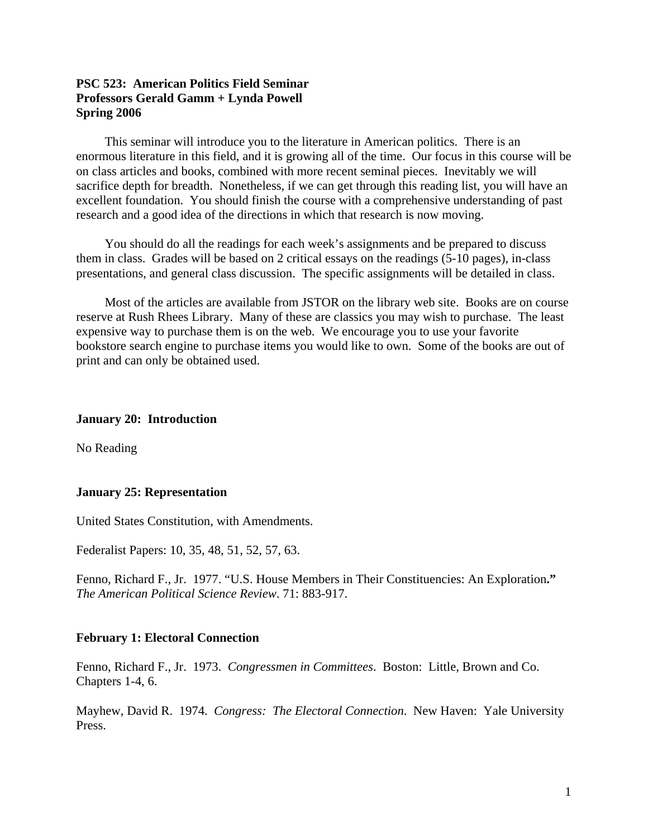### **PSC 523: American Politics Field Seminar Professors Gerald Gamm + Lynda Powell Spring 2006**

This seminar will introduce you to the literature in American politics. There is an enormous literature in this field, and it is growing all of the time. Our focus in this course will be on class articles and books, combined with more recent seminal pieces. Inevitably we will sacrifice depth for breadth. Nonetheless, if we can get through this reading list, you will have an excellent foundation. You should finish the course with a comprehensive understanding of past research and a good idea of the directions in which that research is now moving.

You should do all the readings for each week's assignments and be prepared to discuss them in class. Grades will be based on 2 critical essays on the readings (5-10 pages), in-class presentations, and general class discussion. The specific assignments will be detailed in class.

Most of the articles are available from JSTOR on the library web site. Books are on course reserve at Rush Rhees Library. Many of these are classics you may wish to purchase. The least expensive way to purchase them is on the web. We encourage you to use your favorite bookstore search engine to purchase items you would like to own. Some of the books are out of print and can only be obtained used.

#### **January 20: Introduction**

No Reading

#### **January 25: Representation**

United States Constitution, with Amendments.

Federalist Papers: 10, 35, 48, 51, 52, 57, 63.

Fenno, Richard F., Jr. 1977. "[U.S. House Members in Their Constituencies: An Exploration](http://www.jstor.org/view/00030554/di960986/96p0289l/0?currentResult=00030554%2bdi960986%2b96p0289l%2b0%2c00&searchUrl=http%3A%2F%2Fwww.jstor.org%2Fsearch%2FAdvancedResults%3Fhp%3D25%26si%3D1%26All%3Dfenno%26Exact%3D%26One%3D%26None%3D%26au%3Don%26sd%3D%26ed%3D%26jt%3D%26dc%3DPolitical+Science)**."** *[The American Political Science Review](http://www.jstor.org/browse/00030554)*. 71: 883-917.

#### **February 1: Electoral Connection**

Fenno, Richard F., Jr. 1973. *Congressmen in Committees*. Boston: Little, Brown and Co. Chapters 1-4, 6.

Mayhew, David R. 1974. *Congress: The Electoral Connection*. New Haven: Yale University Press.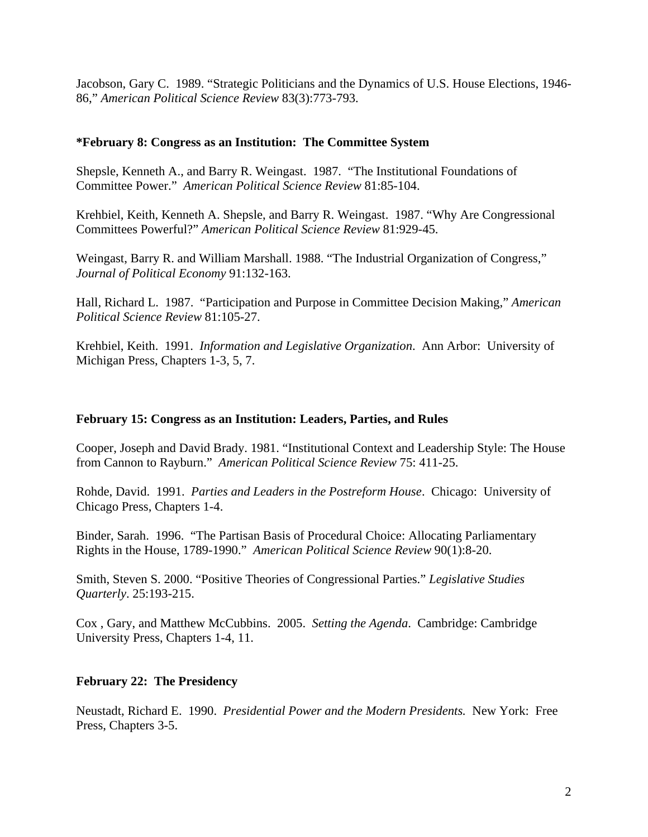Jacobson, Gary C. 1989. "Strategic Politicians and the Dynamics of U.S. House Elections, 1946- 86," *American Political Science Review* 83(3):773-793.

### **\*February 8: Congress as an Institution: The Committee System**

Shepsle, Kenneth A., and Barry R. Weingast. 1987. "The Institutional Foundations of Committee Power." *American Political Science Review* 81:85-104.

Krehbiel, Keith, Kenneth A. Shepsle, and Barry R. Weingast. 1987. "Why Are Congressional Committees Powerful?" *American Political Science Review* 81:929-45.

Weingast, Barry R. and William Marshall. 1988. "The Industrial Organization of Congress," *Journal of Political Economy* 91:132-163.

Hall, Richard L. 1987. "Participation and Purpose in Committee Decision Making," *American Political Science Review* 81:105-27.

Krehbiel, Keith. 1991. *Information and Legislative Organization*. Ann Arbor: University of Michigan Press, Chapters 1-3, 5, 7.

### **February 15: Congress as an Institution: Leaders, Parties, and Rules**

Cooper, Joseph and David Brady. 1981. "Institutional Context and Leadership Style: The House from Cannon to Rayburn." *American Political Science Review* 75: 411-25.

Rohde, David. 1991. *Parties and Leaders in the Postreform House*. Chicago: University of Chicago Press, Chapters 1-4.

Binder, Sarah. 1996. "The Partisan Basis of Procedural Choice: Allocating Parliamentary Rights in the House, 1789-1990." *American Political Science Review* 90(1):8-20.

Smith, Steven S. 2000. ["Positive Theories of Congressional Parties](http://www.jstor.org/view/03629805/ap020100/02a00030/0?currentResult=03629805%2bap020100%2b02a00030%2b1%2c3C5C6B&searchUrl=http%3A%2F%2Fwww.jstor.org%2Fsearch%2FAdvancedResults%3Fhp%3D25%26si%3D1%26All%3Dcooper%2Bbrady%26Exact%3D%26One%3D%26None%3D%26sd%3D%26ed%3D%26jt%3D%26dc%3DPolitical+Science)." *[Legislative Studies](http://www.jstor.org/browse/03629805)  [Quarterly](http://www.jstor.org/browse/03629805)*. 25:193-215.

Cox , Gary, and Matthew McCubbins. 2005. *Setting the Agenda*. Cambridge: Cambridge University Press, Chapters 1-4, 11.

### **February 22: The Presidency**

Neustadt, Richard E. 1990. *Presidential Power and the Modern Presidents.* New York: Free Press, Chapters 3-5.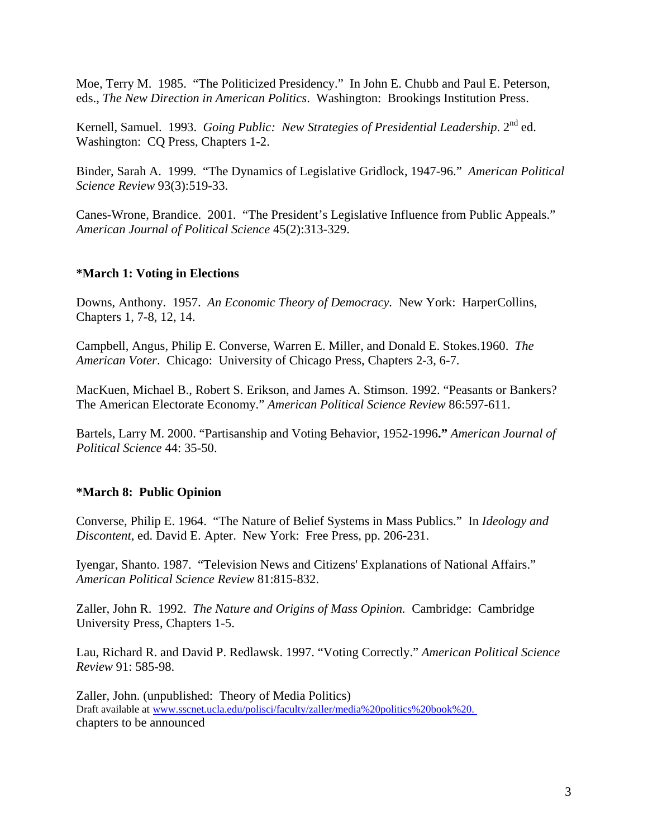Moe, Terry M. 1985. "The Politicized Presidency." In John E. Chubb and Paul E. Peterson, eds., *The New Direction in American Politics*. Washington: Brookings Institution Press.

Kernell, Samuel. 1993. *Going Public: New Strategies of Presidential Leadership*. 2<sup>nd</sup> ed. Washington: CQ Press, Chapters 1-2.

Binder, Sarah A. 1999. "The Dynamics of Legislative Gridlock, 1947-96." *American Political Science Review* 93(3):519-33.

Canes-Wrone, Brandice. 2001. "The President's Legislative Influence from Public Appeals." *American Journal of Political Science* 45(2):313-329.

# **\*March 1: Voting in Elections**

Downs, Anthony. 1957. *An Economic Theory of Democracy.* New York: HarperCollins, Chapters 1, 7-8, 12, 14.

Campbell, Angus, Philip E. Converse, Warren E. Miller, and Donald E. Stokes.1960. *The American Voter*. Chicago: University of Chicago Press, Chapters 2-3, 6-7.

MacKuen, Michael B., Robert S. Erikson, and James A. Stimson. 1992. "Peasants or Bankers? The American Electorate Economy." *American Political Science Review* 86:597-611.

Bartels, Larry M. 2000. "[Partisanship and Voting Behavior, 1952-1996](http://www.jstor.org/view/00925853/di015660/01p0004h/0?currentResult=00925853%2bdi015660%2b01p0004h%2b0%2c00&searchUrl=http%3A%2F%2Fwww.jstor.org%2Fsearch%2FAdvancedResults%3Fhp%3D25%26si%3D1%26All%3Dbartels%26Exact%3D%26One%3D%26None%3D%26au%3Don%26sd%3D%26ed%3D%26jt%3D%26dc%3DPolitical+Science)**."** *[American Journal of](http://www.jstor.org/browse/00925853)  [Political Science](http://www.jstor.org/browse/00925853)* 44: 35-50.

# **\*March 8: Public Opinion**

Converse, Philip E. 1964. "The Nature of Belief Systems in Mass Publics." In *Ideology and Discontent*, ed. David E. Apter. New York: Free Press, pp. 206-231.

Iyengar, Shanto. 1987. "Television News and Citizens' Explanations of National Affairs." *American Political Science Review* 81:815-832.

Zaller, John R. 1992. *The Nature and Origins of Mass Opinion.* Cambridge: Cambridge University Press, Chapters 1-5.

Lau, Richard R. and David P. Redlawsk. 1997. "Voting Correctly." *American Political Science Review* 91: 585-98.

Zaller, John. (unpublished: Theory of Media Politics) Draft available at www.sscnet.ucla.edu/polisci/faculty/zaller/media%20politics%20book%20. chapters to be announced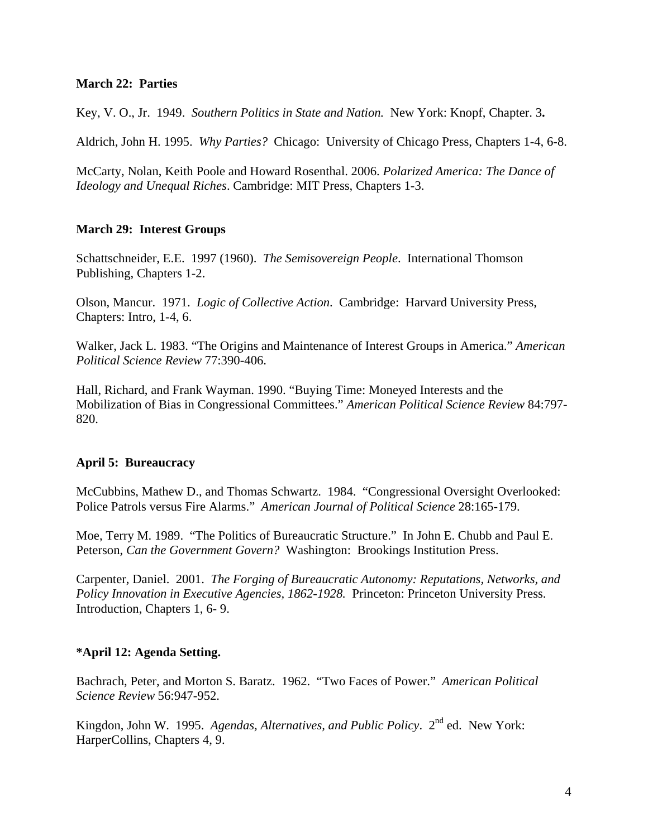### **March 22: Parties**

Key, V. O., Jr. 1949. *Southern Politics in State and Nation.* New York: Knopf, Chapter. 3**.** 

Aldrich, John H. 1995. *Why Parties?* Chicago: University of Chicago Press, Chapters 1-4, 6-8.

McCarty, Nolan, Keith Poole and Howard Rosenthal. 2006. *Polarized America: The Dance of Ideology and Unequal Riches*. Cambridge: MIT Press, Chapters 1-3.

### **March 29: Interest Groups**

Schattschneider, E.E. 1997 (1960). *The Semisovereign People*. International Thomson Publishing, Chapters 1-2.

Olson, Mancur. 1971. *Logic of Collective Action*. Cambridge: Harvard University Press, Chapters: Intro, 1-4, 6.

Walker, Jack L. 1983. "The Origins and Maintenance of Interest Groups in America." *American Political Science Review* 77:390-406.

Hall, Richard, and Frank Wayman. 1990. "Buying Time: Moneyed Interests and the Mobilization of Bias in Congressional Committees." *American Political Science Review* 84:797- 820.

### **April 5: Bureaucracy**

McCubbins, Mathew D., and Thomas Schwartz. 1984. "Congressional Oversight Overlooked: Police Patrols versus Fire Alarms." *American Journal of Political Science* 28:165-179.

Moe, Terry M. 1989. "The Politics of Bureaucratic Structure." In John E. Chubb and Paul E. Peterson, *Can the Government Govern?* Washington: Brookings Institution Press.

Carpenter, Daniel. 2001. *[The Forging of Bureaucratic Autonomy: Reputations, Networks, and](http://www.amazon.com/exec/obidos/tg/detail/-/0691070105/qid=1137431243/sr=1-1/ref=sr_1_1/102-0462186-2472116?v=glance&s=books)  [Policy Innovation in Executive Agencies, 1862-1928.](http://www.amazon.com/exec/obidos/tg/detail/-/0691070105/qid=1137431243/sr=1-1/ref=sr_1_1/102-0462186-2472116?v=glance&s=books)* Princeton: Princeton University Press. Introduction, Chapters 1, 6- 9.

### **\*April 12: Agenda Setting.**

Bachrach, Peter, and Morton S. Baratz. 1962. "Two Faces of Power." *American Political Science Review* 56:947-952.

Kingdon, John W. 1995. *Agendas, Alternatives, and Public Policy*. 2nd ed. New York: HarperCollins, Chapters 4, 9.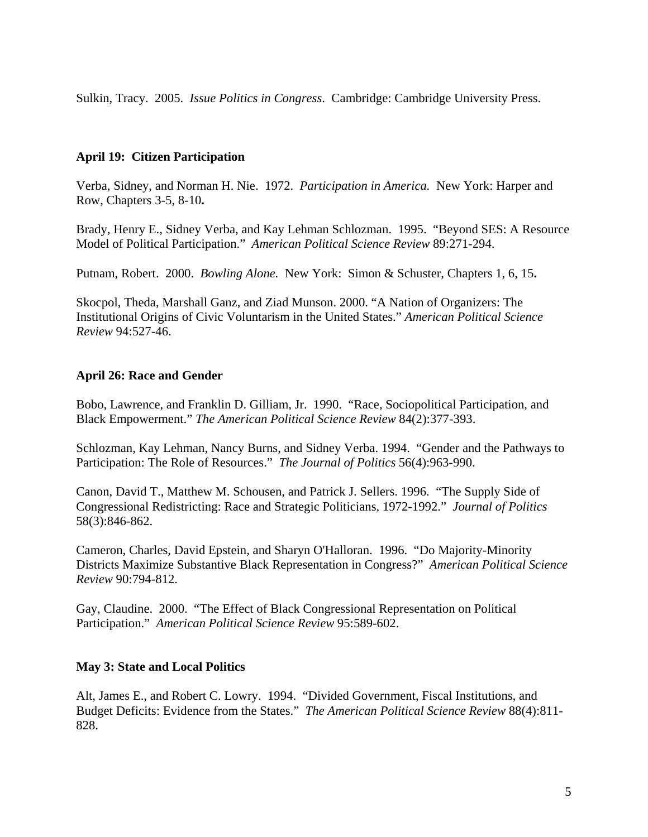Sulkin, Tracy. 2005. *Issue Politics in Congress*. Cambridge: Cambridge University Press.

# **April 19: Citizen Participation**

Verba, Sidney, and Norman H. Nie. 1972. *Participation in America.* New York: Harper and Row, Chapters 3-5, 8-10**.** 

Brady, Henry E., Sidney Verba, and Kay Lehman Schlozman. 1995. "Beyond SES: A Resource Model of Political Participation." *American Political Science Review* 89:271-294.

Putnam, Robert. 2000. *Bowling Alone.* New York: Simon & Schuster, Chapters 1, 6, 15**.** 

Skocpol, Theda, Marshall Ganz, and Ziad Munson. 2000. "A Nation of Organizers: The Institutional Origins of Civic Voluntarism in the United States." *American Political Science Review* 94:527-46.

### **April 26: Race and Gender**

Bobo, Lawrence, and Franklin D. Gilliam, Jr. 1990. "Race, Sociopolitical Participation, and Black Empowerment." *The American Political Science Review* 84(2):377-393.

Schlozman, Kay Lehman, Nancy Burns, and Sidney Verba. 1994. "Gender and the Pathways to Participation: The Role of Resources." *The Journal of Politics* 56(4):963-990.

Canon, David T., Matthew M. Schousen, and Patrick J. Sellers. 1996. "The Supply Side of Congressional Redistricting: Race and Strategic Politicians, 1972-1992." *Journal of Politics* 58(3):846-862.

Cameron, Charles, David Epstein, and Sharyn O'Halloran. 1996. "Do Majority-Minority Districts Maximize Substantive Black Representation in Congress?" *American Political Science Review* 90:794-812.

Gay, Claudine. 2000. "The Effect of Black Congressional Representation on Political Participation." *American Political Science Review* 95:589-602.

### **May 3: State and Local Politics**

Alt, James E., and Robert C. Lowry. 1994. "Divided Government, Fiscal Institutions, and Budget Deficits: Evidence from the States." *The American Political Science Review* 88(4):811- 828.